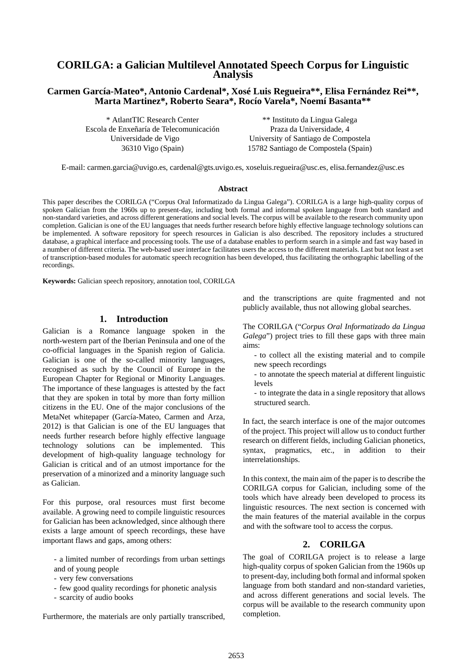# **CORILGA: a Galician Multilevel Annotated Speech Corpus for Linguistic Analysis**

## **Carmen García-Mateo\*, Antonio Cardenal\*, Xosé Luis Regueira\*\*, Elisa Fernández Rei\*\*, Marta Martinez\*, Roberto Seara\*, Rocío Varela\*, Noemí Basanta\*\***

Escola de Enxeñaría de Telecomunicación Universidade de Vigo 36310 Vigo (Spain)

\* AtlantTIC Research Center \*\* Instituto da Lingua Galega Praza da Universidade, 4 University of Santiago de Compostela 15782 Santiago de Compostela (Spain)

E-mail: carmen.garcia@uvigo.es, cardenal@gts.uvigo.es, xoseluis.regueira@usc.es, elisa.fernandez@usc.es

#### **Abstract**

This paper describes the CORILGA ("Corpus Oral Informatizado da Lingua Galega"). CORILGA is a large high-quality corpus of spoken Galician from the 1960s up to present-day, including both formal and informal spoken language from both standard and non-standard varieties, and across different generations and social levels. The corpus will be available to the research community upon completion. Galician is one of the EU languages that needs further research before highly effective language technology solutions can be implemented. A software repository for speech resources in Galician is also described. The repository includes a structured database, a graphical interface and processing tools. The use of a database enables to perform search in a simple and fast way based in a number of different criteria. The web-based user interface facilitates users the access to the different materials. Last but not least a set of transcription-based modules for automatic speech recognition has been developed, thus facilitating the orthographic labelling of the recordings.

**Keywords:** Galician speech repository, annotation tool, CORILGA

## **1. Introduction**

Galician is a Romance language spoken in the north-western part of the Iberian Peninsula and one of the co-official languages in the Spanish region of Galicia. Galician is one of the so-called minority languages, recognised as such by the Council of Europe in the European Chapter for Regional or Minority Languages. The importance of these languages is attested by the fact that they are spoken in total by more than forty million citizens in the EU. One of the major conclusions of the MetaNet whitepaper (García-Mateo, Carmen and Arza, 2012) is that Galician is one of the EU languages that needs further research before highly effective language technology solutions can be implemented. This development of high-quality language technology for Galician is critical and of an utmost importance for the preservation of a minorized and a minority language such as Galician.

For this purpose, oral resources must first become available. A growing need to compile linguistic resources for Galician has been acknowledged, since although there exists a large amount of speech recordings, these have important flaws and gaps, among others:

- a limited number of recordings from urban settings and of young people

- very few conversations
- few good quality recordings for phonetic analysis
- scarcity of audio books

Furthermore, the materials are only partially transcribed,

and the transcriptions are quite fragmented and not publicly available, thus not allowing global searches.

The CORILGA ("*Corpus Oral Informatizado da Lingua Galega*") project tries to fill these gaps with three main aims:

- to collect all the existing material and to compile new speech recordings
- to annotate the speech material at different linguistic levels
- to integrate the data in a single repository that allows structured search.

In fact, the search interface is one of the major outcomes of the project. This project will allow us to conduct further research on different fields, including Galician phonetics, syntax, pragmatics, etc., in addition to their interrelationships.

In this context, the main aim of the paper is to describe the CORILGA corpus for Galician, including some of the tools which have already been developed to process its linguistic resources. The next section is concerned with the main features of the material available in the corpus and with the software tool to access the corpus.

#### **2. CORILGA**

The goal of CORILGA project is to release a large high-quality corpus of spoken Galician from the 1960s up to present-day, including both formal and informal spoken language from both standard and non-standard varieties, and across different generations and social levels. The corpus will be available to the research community upon completion.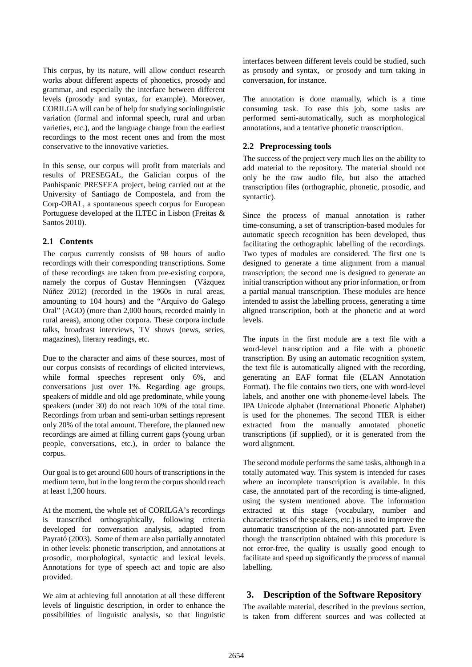This corpus, by its nature, will allow conduct research works about different aspects of phonetics, prosody and grammar, and especially the interface between different levels (prosody and syntax, for example). Moreover, CORILGA will can be of help for studying sociolinguistic variation (formal and informal speech, rural and urban varieties, etc.), and the language change from the earliest recordings to the most recent ones and from the most conservative to the innovative varieties.

In this sense, our corpus will profit from materials and results of PRESEGAL, the Galician corpus of the Panhispanic PRESEEA project, being carried out at the University of Santiago de Compostela, and from the Corp-ORAL, a spontaneous speech corpus for European Portuguese developed at the ILTEC in Lisbon (Freitas & Santos 2010).

## **2.1 Contents**

The corpus currently consists of 98 hours of audio recordings with their corresponding transcriptions. Some of these recordings are taken from pre-existing corpora, namely the corpus of Gustav Henningsen (Vázquez Núñez 2012) (recorded in the 1960s in rural areas, amounting to 104 hours) and the "Arquivo do Galego Oral" (AGO) (more than 2,000 hours, recorded mainly in rural areas), among other corpora. These corpora include talks, broadcast interviews, TV shows (news, series, magazines), literary readings, etc.

Due to the character and aims of these sources, most of our corpus consists of recordings of elicited interviews, while formal speeches represent only 6%, and conversations just over 1%. Regarding age groups, speakers of middle and old age predominate, while young speakers (under 30) do not reach 10% of the total time. Recordings from urban and semi-urban settings represent only 20% of the total amount. Therefore, the planned new recordings are aimed at filling current gaps (young urban people, conversations, etc.), in order to balance the corpus.

Our goal is to get around 600 hours of transcriptions in the medium term, but in the long term the corpus should reach at least 1,200 hours.

At the moment, the whole set of CORILGA's recordings is transcribed orthographically, following criteria developed for conversation analysis, adapted from Payrató (2003). Some of them are also partially annotated in other levels: phonetic transcription, and annotations at prosodic, morphological, syntactic and lexical levels. Annotations for type of speech act and topic are also provided.

We aim at achieving full annotation at all these different levels of linguistic description, in order to enhance the possibilities of linguistic analysis, so that linguistic interfaces between different levels could be studied, such as prosody and syntax, or prosody and turn taking in conversation, for instance.

The annotation is done manually, which is a time consuming task. To ease this job, some tasks are performed semi-automatically, such as morphological annotations, and a tentative phonetic transcription.

## **2.2 Preprocessing tools**

The success of the project very much lies on the ability to add material to the repository. The material should not only be the raw audio file, but also the attached transcription files (orthographic, phonetic, prosodic, and syntactic).

Since the process of manual annotation is rather time-consuming, a set of transcription-based modules for automatic speech recognition has been developed, thus facilitating the orthographic labelling of the recordings. Two types of modules are considered. The first one is designed to generate a time alignment from a manual transcription; the second one is designed to generate an initial transcription without any prior information, or from a partial manual transcription. These modules are hence intended to assist the labelling process, generating a time aligned transcription, both at the phonetic and at word levels.

The inputs in the first module are a text file with a word-level transcription and a file with a phonetic transcription. By using an automatic recognition system, the text file is automatically aligned with the recording, generating an EAF format file (ELAN Annotation Format). The file contains two tiers, one with word-level labels, and another one with phoneme-level labels. The IPA Unicode alphabet (International Phonetic Alphabet) is used for the phonemes. The second TIER is either extracted from the manually annotated phonetic transcriptions (if supplied), or it is generated from the word alignment.

The second module performs the same tasks, although in a totally automated way. This system is intended for cases where an incomplete transcription is available. In this case, the annotated part of the recording is time-aligned, using the system mentioned above. The information extracted at this stage (vocabulary, number and characteristics of the speakers, etc.) is used to improve the automatic transcription of the non-annotated part. Even though the transcription obtained with this procedure is not error-free, the quality is usually good enough to facilitate and speed up significantly the process of manual labelling.

## **3. Description of the Software Repository**

The available material, described in the previous section, is taken from different sources and was collected at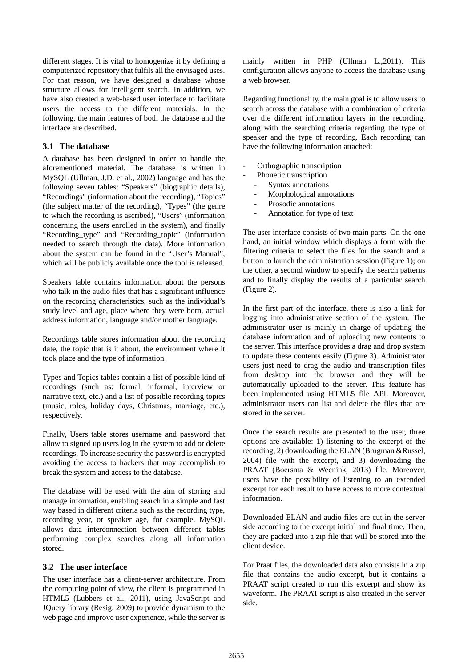different stages. It is vital to homogenize it by defining a computerized repository that fulfils all the envisaged uses. For that reason, we have designed a database whose structure allows for intelligent search. In addition, we have also created a web-based user interface to facilitate users the access to the different materials. In the following, the main features of both the database and the interface are described.

#### **3.1 The database**

A database has been designed in order to handle the aforementioned material. The database is written in MySQL (Ullman, J.D. et al., 2002) language and has the following seven tables: "Speakers" (biographic details), "Recordings" (information about the recording), "Topics" (the subject matter of the recording), "Types" (the genre to which the recording is ascribed), "Users" (information concerning the users enrolled in the system), and finally "Recording\_type" and "Recording\_topic" (information needed to search through the data). More information about the system can be found in the "User's Manual", which will be publicly available once the tool is released.

Speakers table contains information about the persons who talk in the audio files that has a significant influence on the recording characteristics, such as the individual's study level and age, place where they were born, actual address information, language and/or mother language.

Recordings table stores information about the recording date, the topic that is it about, the environment where it took place and the type of information.

Types and Topics tables contain a list of possible kind of recordings (such as: formal, informal, interview or narrative text, etc.) and a list of possible recording topics (music, roles, holiday days, Christmas, marriage, etc.), respectively.

Finally, Users table stores username and password that allow to signed up users log in the system to add or delete recordings. To increase security the password is encrypted avoiding the access to hackers that may accomplish to break the system and access to the database.

The database will be used with the aim of storing and manage information, enabling search in a simple and fast way based in different criteria such as the recording type, recording year, or speaker age, for example. MySQL allows data interconnection between different tables performing complex searches along all information stored.

## **3.2 The user interface**

The user interface has a client-server architecture. From the computing point of view, the client is programmed in HTML5 (Lubbers et al., 2011), using JavaScript and JQuery library (Resig, 2009) to provide dynamism to the web page and improve user experience, while the server is

mainly written in PHP (Ullman L.,2011). This configuration allows anyone to access the database using a web browser.

Regarding functionality, the main goal is to allow users to search across the database with a combination of criteria over the different information layers in the recording, along with the searching criteria regarding the type of speaker and the type of recording. Each recording can have the following information attached:

- Orthographic transcription
	- Phonetic transcription
	- Syntax annotations
	- Morphological annotations
	- Prosodic annotations
	- Annotation for type of text

The user interface consists of two main parts. On the one hand, an initial window which displays a form with the filtering criteria to select the files for the search and a button to launch the administration session (Figure 1); on the other, a second window to specify the search patterns and to finally display the results of a particular search (Figure 2).

In the first part of the interface, there is also a link for logging into administrative section of the system. The administrator user is mainly in charge of updating the database information and of uploading new contents to the server. This interface provides a drag and drop system to update these contents easily (Figure 3). Administrator users just need to drag the audio and transcription files from desktop into the browser and they will be automatically uploaded to the server. This feature has been implemented using HTML5 file API. Moreover, administrator users can list and delete the files that are stored in the server.

Once the search results are presented to the user, three options are available: 1) listening to the excerpt of the recording, 2) downloading the ELAN (Brugman &Russel, 2004) file with the excerpt, and 3) downloading the PRAAT (Boersma & Weenink, 2013) file. Moreover, users have the possibility of listening to an extended excerpt for each result to have access to more contextual information.

Downloaded ELAN and audio files are cut in the server side according to the excerpt initial and final time. Then, they are packed into a zip file that will be stored into the client device.

For Praat files, the downloaded data also consists in a zip file that contains the audio excerpt, but it contains a PRAAT script created to run this excerpt and show its waveform. The PRAAT script is also created in the server side.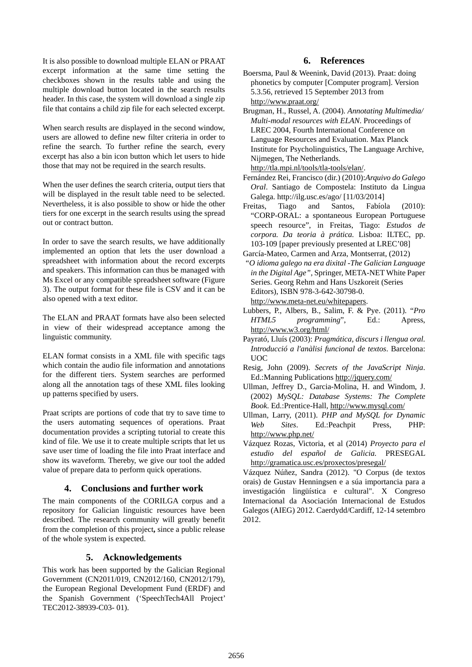It is also possible to download multiple ELAN or PRAAT excerpt information at the same time setting the checkboxes shown in the results table and using the multiple download button located in the search results header. In this case, the system will download a single zip file that contains a child zip file for each selected excerpt.

When search results are displayed in the second window, users are allowed to define new filter criteria in order to refine the search. To further refine the search, every excerpt has also a bin icon button which let users to hide those that may not be required in the search results.

When the user defines the search criteria, output tiers that will be displayed in the result table need to be selected. Nevertheless, it is also possible to show or hide the other tiers for one excerpt in the search results using the spread out or contract button.

In order to save the search results, we have additionally implemented an option that lets the user download a spreadsheet with information about the record excerpts and speakers. This information can thus be managed with Ms Excel or any compatible spreadsheet software (Figure 3). The output format for these file is CSV and it can be also opened with a text editor.

The ELAN and PRAAT formats have also been selected in view of their widespread acceptance among the linguistic community.

ELAN format consists in a XML file with specific tags which contain the audio file information and annotations for the different tiers. System searches are performed along all the annotation tags of these XML files looking up patterns specified by users.

Praat scripts are portions of code that try to save time to the users automating sequences of operations. Praat documentation provides a scripting tutorial to create this kind of file. We use it to create multiple scripts that let us save user time of loading the file into Praat interface and show its waveform. Thereby, we give our tool the added value of prepare data to perform quick operations.

#### **4. Conclusions and further work**

The main components of the CORILGA corpus and a repository for Galician linguistic resources have been described. The research community will greatly benefit from the completion of this project**,** since a public release of the whole system is expected.

#### **5. Acknowledgements**

This work has been supported by the Galician Regional Government (CN2011/019, CN2012/160, CN2012/179), the European Regional Development Fund (ERDF) and the Spanish Government ('SpeechTech4All Project' TEC2012-38939-C03- 01).

#### **6. References**

- Boersma, Paul & Weenink, David (2013). Praat: doing phonetics by computer [Computer program]. Version 5.3.56, retrieved 15 September 2013 from http://www.praat.org/
- Brugman, H., Russel, A. (2004). *Annotating Multimedia/ Multi-modal resources with ELAN*. Proceedings of LREC 2004, Fourth International Conference on Language Resources and Evaluation. Max Planck Institute for Psycholinguistics, The Language Archive, Nijmegen, The Netherlands. http://tla.mpi.nl/tools/tla-tools/elan/.
- Fernández Rei, Francisco (dir.) (2010):*Arquivo do Galego Oral*. Santiago de Compostela: Instituto da Lingua Galega. http://ilg.usc.es/ago/ [11/03/2014]
- Freitas, Tiago and Santos, Fabíola (2010): "CORP-ORAL: a spontaneous European Portuguese speech resource", in Freitas, Tiago: *Estudos de corpora. Da teoria à prática.* Lisboa: ILTEC, pp. 103-109 [paper previously presented at LREC'08]
- García-Mateo, Carmen and Arza, Montserrat, (2012) *"O idioma galego na era dixital -The Galician Language in the Digital Age"*, Springer, META-NET White Paper Series. Georg Rehm and Hans Uszkoreit (Series Editors), ISBN 978-3-642-30798-0. http://www.meta-net.eu/whitepapers.
- Lubbers, P., Albers, B., Salim, F. & Pye. (2011). "*Pro HTML5 programming*", Ed.: Apress, http://www.w3.org/html/
- Payrató, Lluís (2003): *Pragmática, discurs i llengua oral. Introducció a l'anàlisi funcional de textos*. Barcelona: UOC
- Resig, John (2009). *Secrets of the JavaScript Ninja*. Ed.:Manning Publications http://jquery.com/
- Ullman, Jeffrey D., Garcia-Molina, H. and Windom, J. (2002) *MySQL: Database Systems: The Complete Book*. Ed.:Prentice-Hall, http://www.mysql.com/
- Ullman, Larry, (2011). *PHP and MySQL for Dynamic Web Sites*. Ed.:Peachpit Press, PHP: http://www.php.net/
- Vázquez Rozas, Victoria, et al (2014) *Proyecto para el estudio del español de Galicia.* PRESEGAL http://gramatica.usc.es/proxectos/presegal/

Vázquez Núñez, Sandra (2012). "O Corpus (de textos orais) de Gustav Henningsen e a súa importancia para a investigación lingüística e cultural". X Congreso Internacional da Asociación Internacional de Estudos Galegos (AIEG) 2012. Caerdydd/Cardiff, 12-14 setembro 2012.